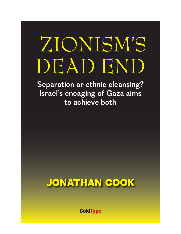## ZIONISM'S DEAD END

**Separation or ethnic cleansing? Israel's encaging of Gaza aims to achieve both**



**ColdType**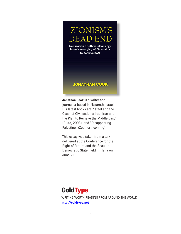ZIONISM'S **DEAD END** Separation or ethnic cleansing?

Israel's encaging of Gaza aims to achieve both

#### **JONATHAN COOK**

**Jonathan Cook** is a writer and journalist based in Nazareth, Israel. His latest books are "Israel and the Clash of Civilisations: Iraq, Iran and the Plan to Remake the Middle East" (Pluto, 2008), and "Disappearing Palestine" (Zed, forthcoming).

This essay was taken from a talk delivered at the Conference for the Right of Return and the Secular Democratic State, held in Haifa on June 21

### **ColdType** WRITING WORTH READING FROM AROUND THE WORLD **http://coldtype.net**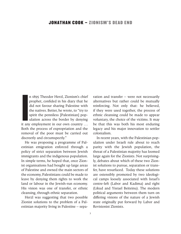n 1895 Theodor Herzl, Zionism's chief<br>prophet, confided in his diary that he<br>did not favour sharing Palestine with<br>the natives. Better, he wrote, to "try to<br>spirit the penniless [Palestinian] pop-<br>ulation across the border n 1895 Theodor Herzl, Zionism's chief prophet, confided in his diary that he did not favour sharing Palestine with the natives. Better, he wrote, to "try to spirit the penniless [Palestinian] population across the border by denying Both the process of expropriation and the removal of the poor must be carried out discreetly and circumspectly."

He was proposing a programme of Palestinian emigration enforced through a policy of strict separation between Jewish immigrants and the indigenous population. In simple terms, he hoped that, once Zionist organisations had bought up large areas of Palestine and owned the main sectors of the economy, Palestinians could be made to leave by denying them rights to work the land or labour in the Jewish-run economy. His vision was one of transfer, or ethnic cleansing, through ethnic separation.

Herzl was suggesting that two possible Zionist solutions to the problem of a Palestinian majority living in Palestine – separation and transfer – were not necessarily alternatives but rather could be mutually reinforcing. Not only that: he believed, if they were used together, the process of ethnic cleansing could be made to appear voluntary, the choice of the victims. It may be that this was both his most enduring legacy and his major innovation to settler colonialism.

In recent years, with the Palestinian population under Israeli rule about to reach parity with the Jewish population, the threat of a Palestinian majority has loomed large again for the Zionists. Not surprisingly, debates about which of these two Zionist solutions to pursue, separation or transfer, have resurfaced. Today these solutions are ostensibly promoted by two ideological camps loosely associated with Israel's centre-left (Labor and Kadima) and right (Likud and Yisrael Beiteinu). The modern political arguments between them turn on differing visions of the nature of a Jewish state originally put forward by Labor and Revisionist Zionists.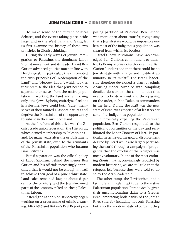To make sense of the current political debates, and the events taking place inside Israel and in the West Bank and Gaza, let us first examine the history of these two principles in Zionist thinking.

 During the early waves of Jewish immigration to Palestine, the dominant Labor Zionist movement and its leader David Ben Gurion advanced policies much in line with Herzl's goal. In particular, they promoted the twin principles of "Redemption of the Land" and "Hebrew Labor", which took as their premise the idea that Jews needed to separate themselves from the native population in working the land and employing only other Jews. By being entirely self-reliant in Palestine, Jews could both "cure" themselves of their tainted Diaspora natures and deprive the Palestinians of the opportunity to subsist in their own homeland.

 At the forefront of this drive was the Zionist trade union federation, the Histadrut, which denied membership to Palestinians – and, for many years after the establishment of the Jewish state, even to the remnants of the Palestinian population who became Israeli citizens.

 But if separation was the official policy of Labor Zionism, behind the scenes Ben Gurion and his officials increasingly appreciated that it would not be enough in itself to achieve their goal of a pure ethnic state. Land sales remained low, at about 6 per cent of the territory, and the Jewish-owned parts of the economy relied on cheap Palestinian labour.

 Instead, the Labor Zionists secretly began working on a programme of ethnic cleansing. After 1937 and Britain's Peel Report proposing partition of Palestine, Ben Gurion was more open about transfer, recognising that a Jewish state would be impossible unless most of the indigenous population was cleared from within its borders.

Israel's new historians have acknowledged Ben Gurion's commitment to transfer. As Benny Morris notes, for example, Ben Gurion "understood that there could be no Jewish state with a large and hostile Arab minority in its midst." The Israeli leadership therefore developed a plan for ethnic cleansing under cover of war, compiling detailed dossiers on the communities that needed to be driven out and then passing on the order, in Plan Dalet, to commanders in the field. During the 1948 war the new state of Israel was emptied of at least 80 per cent of its indigenous population.

 In physically expelling the Palestinian population, Ben Gurion responded to the political opportunities of the day and recalibrated the Labor Zionism of Herzl. In particular he achieved the goal of displacement desired by Herzl while also largely persuading the world through a campaign of propaganda that the exodus of the refugees was mostly voluntary. In one of the most enduring Zionist myths, convincingly rebutted by modern historians, we are still told that the refugees left because they were told to do so by the Arab leadership.

The other camp, the Revisionists, had a far more ambivalent attitude to the native Palestinian population. Paradoxically, given their uncompromising claim to a Greater Israel embracing both banks of the Jordan River (thereby including not only Palestine but also the modern state of Jordan), they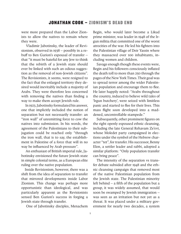were more prepared than the Labor Zionists to allow the natives to remain where they were.

 Vladimir Jabotinsky, the leader of Revisionism, observed in 1938 – possibly in a rebuff to Ben Gurion's espousal of transfer – that "it must be hateful for any Jew to think that the rebirth of a Jewish state should ever be linked with such an odious suggestion as the removal of non-Jewish citizens". The Revisionists, it seems, were resigned to the fact that the enlarged territory they desired would inevitably include a majority of Arabs. They were therefore less concerned with removing the natives than finding a way to make them accept Jewish rule.

 In 1923, Jabotinsky formulated his answer, one that implicitly included the notion of separation but not necessarily transfer: an "iron wall" of unremitting force to cow the natives into submission. In his words, the agreement of the Palestinians to their subjugation could be reached only "through the iron wall, that is to say, the establishment in Palestine of a force that will in no way be influenced by Arab pressure".

 An enthusiast of British imperial rule, Jabotinsky envisioned the future Jewish state in simple colonial terms, as a European elite ruling over the native population.

Inside Revisionism, however, there was a shift from the idea of separation to transfer that mirrored developments inside Labor Zionism. This change was perhaps more opportunistic than ideological, and was particularly apparent as the Revisionists sensed Ben Gurion's success in forging a Jewish state through transfer.

One of Jabotinsky disciples, Menachem

Begin, who would later become a Likud prime minister, was leader in 1948 of the Irgun militia that committed one of the worst atrocities of the war. He led his fighters into the Palestinian village of Deir Yassin where they massacred over 100 inhabitants, including women and children.

Savage enough though these events were, Begin and his followers consciously inflated the death toll to more than 250 through the pages of the New York Times. Their goal was to spread terror among the wider Palestinian population and encourage them to flee. He later happily noted: "Arabs throughout the country, induced to believe wild tales of 'Irgun butchery', were seized with limitless panic and started to flee for their lives. This mass flight soon developed into a maddened, uncontrollable stampede."

Subsequently, other prominent figures on the right openly espoused ethnic cleansing, including the late General Rehavam Ze'evi, whose Moledet party campaigned in elections under the symbol of the Hebrew character "tet", for transfer. His successor, Benny Elon, a settler leader and rabbi, adopted a similar platform: "Only population transfer can bring peace".

The intensity of the separation vs transfer debate subsided after 1948 and the ethnic cleansing campaign that removed most of the native Palestinian population from the Jewish state. The Palestinian minority left behind – a fifth of the population but a group, it was widely assumed, that would soon be swamped by Jewish immigration – was seen as an irritation but not yet as a threat. It was placed under a military government for nearly two decades, a system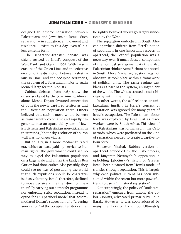designed to enforce separation between Palestinians and Jews inside Israel. Such separation – in education, employment and residence – exists to this day, even if in a less extreme form.

The separation-transfer debate was chiefly revived by Israel's conquest of the West Bank and Gaza in 1967. With Israel's erasure of the Green Line, and the effective erosion of the distinction between Palestinians in Israel and the occupied territories, the problem of a Palestinian majority again loomed large for the Zionists.

Cabinet debates from 1967 show the quandary faced by the government. Almost alone, Moshe Dayan favoured annexation of both the newly captured territories and the Palestinian population there. Others believed that such a move would be seen as transparently colonialist and rapidly degenerate into an apartheid system of Jewish citizens and Palestinian non-citizens. In their minds, Jabotinsky's solution of an iron wall was no longer viable.

But equally, in a more media-saturated era, which at least paid lip-service to human rights, the government could see no way to expel the Palestinian population on a large scale and annex the land, as Ben Gurion had done earlier. Also possibly, they could see no way of persuading the world that such expulsions should be characterised as voluntary. Israel, therefore, declined to move decisively in either direction, neither fully carrying out a transfer programme nor enforcing strict separation. Instead it opted for an apartheid model that accommodated Dayan's suggestion of a "creeping annexation" of the occupied territories that

he rightly believed would go largely unnoticed by the West.

The separation embodied in South African apartheid differed from Herzl's notion of separation in one important respect: in apartheid, the "other" population was a necessary, even if much abused, component of the political arrangement. As the exiled Palestinian thinker Azmi Bishara has noted, in South Africa "racial segregation was not absolute. It took place within a framework of political unity. The racist regime saw blacks as part of the system, an ingredient of the whole. The whites created a racist hierarchy within the unity."

In other words, the self-reliance, or unilateralism, implicit in Herzl's concept of separation was ignored for many years of Israel's occupation. The Palestinian labour force was exploited by Israel just as black workers were by South Africa. This view of the Palestinians was formalised in the Oslo accords, which were predicated on the kind of separation needed to create a captive labour force.

However, Yitzhak Rabin's version of apartheid embodied by the Oslo process, and Binyamin Netanyahu's opposition in upholding Jabotinsky's vision of Greater Israel, both deviated from Herzl's model of transfer through separation. This is largely why each political current has been subsumed within the recent but more powerful trend towards "unilateral separation".

Not surprisingly, the policy of "unilateral separation" emerged from among the Labor Zionists, advocated primarily by Ehud Barak. However, it was soon adopted by many members of Likud too. Ultimately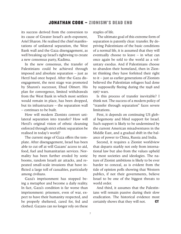its success derived from the conversion to its cause of Greater Israel's arch-exponent, Ariel Sharon. He realised the chief manifestations of unilateral separation, the West Bank wall and the Gaza disengagement, as well breaking up Israel's rightwing to create a new consensus party, Kadima.

In the new consensus, the transfer of Palestinians could be achieved through imposed and absolute separation – just as Herzl had once hoped. After the Gaza disengagement, the next stage was promoted by Sharon's successor, Ehud Olmert. His plan for convergence, limited withdrawals from the West Bank in which most settlers would remain in place, has been dropped, but its infrastructure – the separation wall – continues to be built.

How will modern Zionists convert unilateral separation into transfer? How will Herzl's original vision of ethnic cleansing enforced through strict ethnic separation be realised in today's world?

The current siege of Gaza offers the template. After disengagement, Israel has been able to cut off at will Gazans' access to aid, food, fuel and humanitarian services. Normality has been further eroded by sonic booms, random Israeli air attacks, and repeated small-scale invasions that have inflicted a large toll of casualties, particularly among civilians.

Gaza's imprisonment has stopped being a metaphor and become a daily reality. In fact, Gaza's condition is far worse than imprisonment: prisoners, even of war, expect to have their humanity respected, and be properly sheltered, cared for, fed and clothed. Gazans can no longer rely on these

staples of life.

 The ultimate goal of this extreme form of separation is patently clear: transfer. By depriving Palestinians of the basic conditions of a normal life, it is assumed that they will eventually choose to leave – in what can once again be sold to the world as a voluntary exodus. And if Palestinians choose to abandon their homeland, then in Zionist thinking they have forfeited their right to it – just as earlier generations of Zionists believed the Palestinian refugees had done by supposedly fleeing during the 1948 and 1967 wars.

Is this process of transfer inevitable? I think not. The success of a modern policy of "transfer through separation" faces severe limitations.

First, it depends on continuing US global hegemony and blind support for Israel. Such support is likely to be undermined by the current American misadventures in the Middle East, and a gradual shift in the balance of power to China, Russia and India.

Second, it requires a Zionist worldview that departs starkly not only from international law but also from the values upheld by most societies and ideologies. The nature of Zionist ambitions is likely to be ever harder to conceal, as is evident from the tide of opinion polls showing that Western publics, if not their governments, believe Israel to be one of the biggest threats to world order.

And third, it assumes that the Palestinians will remain passive during their slow eradication. The historical evidence most certainly shows that they will not.  $CT$